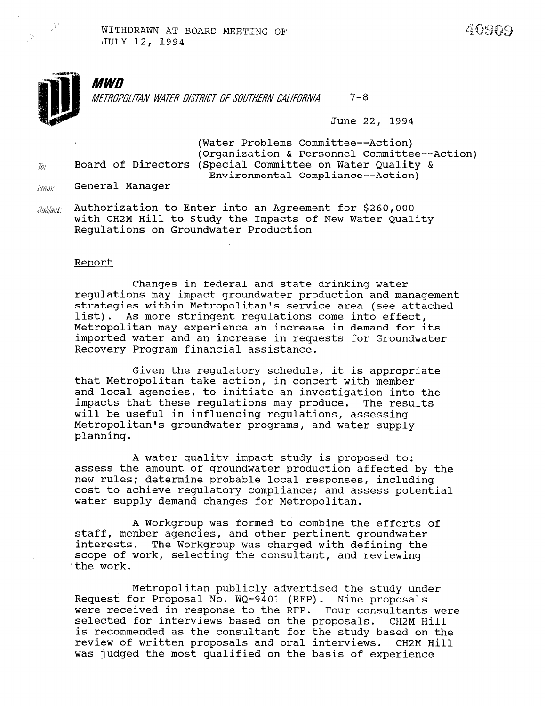**MWD**  $7 - 8$ METROPOLITAN WATER DISTRICT OF SOUTHERN CALIFORNIA

June 22, 1994

(Water Problems Committee--Action) (Organization & Personnel Committee--Action)  $\bar{u}$  Board of Directors (Special Committee on Water Quality & Environmental Compliance--Action)

- $F_{FOM}$  General Manager
- $\textit{Subject:}$  Authorization to Enter into an Agreement for \$260,000 with CH2M Hill to Study the Impacts of New Water Quality Regulations on Groundwater Production

#### Report

Changes in federal and state drinking water regulations may impact groundwater production and management strategies within Metropolitan's service area (see attached list). As more stringent regulations come into effect, Metropolitan may experience an increase in demand for its imported water and an increase in requests for Groundwater Recovery Program financial assistance.

Given the regulatory schedule, it is appropriate that Metropolitan take action, in concert with member and local agencies, to initiate an investigation into the impacts that these regulations may produce. The results will be useful in influencing regulations, assessing Metropolitan's groundwater programs, and water supply planning.

A water quality impact study is proposed to: assess the amount of groundwater production affected by the new rules; determine probable local responses, including new rures, determine probable rocal responses, including cost to achieve regulatory compilance; an

A Workgroup was formed to combine the efforts of A WOIKGIOUP WAS IOIMEN LO COMBINE LNE EIIOIT stall, member agencies, and other pertinent groundwater interests. The Workgroup was charged with defining the scope of work, selecting the consultant, and reviewing the work.

Metropolitan publicly advertised the study under Retropolitan publicly advertised the study u<br>Request for Proposal No. W. 2101 (PFP). Nine pro Request for Proposal No. WQ-9401 (RFP). Nine proposals were received in response to the RFP. Four consultants were selected for interviews based on the proposals. CH2M Hill is recommended as the consultant for the study based on the review of written proposals and oral interviews. CH2M Hill<br>was judged the most qualified on the basis of experience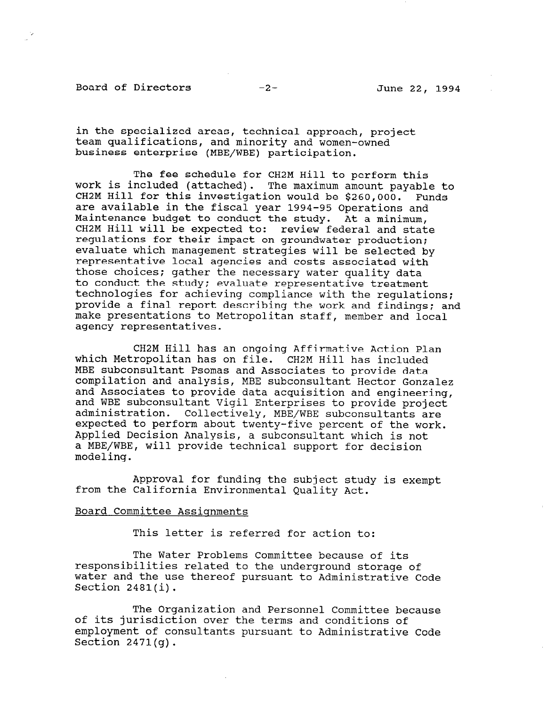Board of Directors -2- June 22, 1994

in the specialized areas, technical approach, project team qualifications, and minority and women-owned business enterprise (MBE/WBE) participation.

The fee schedule for CH2M Hill to perform this work is included (attached). The maximum amount payable to CH2M Hill for this investigation would be \$260,000. Funds are available in the fiscal year 1994-95 Operations and Maintenance budget to conduct the study. At a minimum, CH2M Hill will be expected to: review federal and state regulations for their impact on groundwater production; evaluate which management strategies will be selected by representative local agencies and costs associated with those choices; gather the necessary water quality data to conduct the study; evaluate representative treatment technologies for achieving compliance with the regulations; provide a final report describing the work and findings; and make presentations to Metropolitan staff, member and local agency representatives.

CH2M Hill has an ongoing Affirmative Action Plan which Metropolitan has on file. CH2M Hill has included MBE subconsultant Psomas and Associates to provide data compilation and analysis, MBE subconsultant Hector Gonzalez and Associates to provide data acquisition and engineering, and WBE subconsultant Vigil Enterprises to provide project administration. Collectively, MBE/WBE subconsultants are expected to perform about twenty-five percent of the work. Applied Decision Analysis, a subconsultant which is not a MBE/WBE, will provide technical support for decision modeling.

Approval for funding the subject study is exempt from the California Environmental Quality Act.

#### Board Committee Assignments

This letter is referred for action to:

The Water Problems Committee because of its responsibilities related to the underground storage of ICS responsibilities felated to the underground storage of water and the use thereof pursuant to Administrative Code<br>Section 2481(i).

The Organization and Personnel Committee because  $\mathcal{L}(\mathcal{C})$ of its junicalization and Personnel Committee be of its jurisdiction over the terms and conditions of employment of consultants pursuant to Administrative Code Section  $2471(a)$ .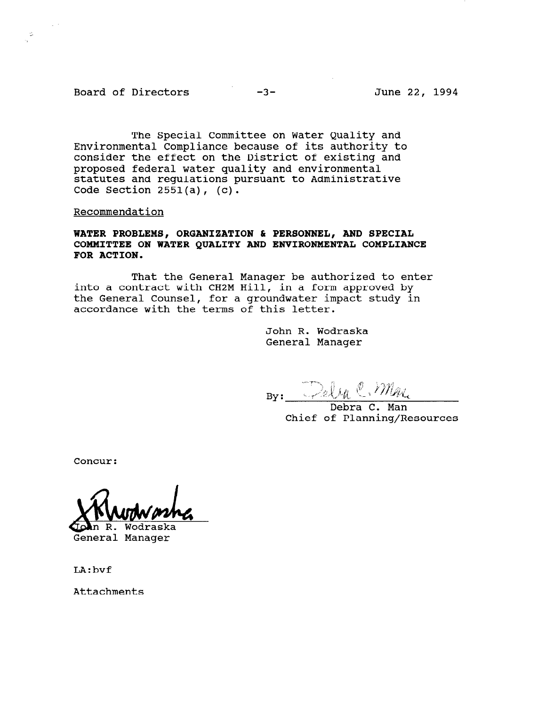Board of Directors -3- June 22, 1994

 $\alpha \Sigma$ 

The Special Committee on Water Quality and Environmental Compliance because of its authority to consider the effect on the District of existing and proposed federal water quality and environmental statutes and regulations pursuant to Administrative Code Section  $2551(a)$ , (c).

Recommendation

## WATER PROBLEMS, ORGANIZATION & PERSONNEL, AND SPECIAL COMMITTEE ON WATER QUALITY AND ENVIRONMENTAL COMPLIANCE FOR ACTION.

That the General Manager be authorized to enter into a contract with CH2M Hill, in a form approved by the General Counsel, for a groundwater impact study in accordance with the terms of this letter.

> John R. Wodraska General Manager

 $B_Y:$  Dely C. My.

Debra C. Man Chief of Planning/Resources

Concur:

General Manager

LA:bvf

Attachments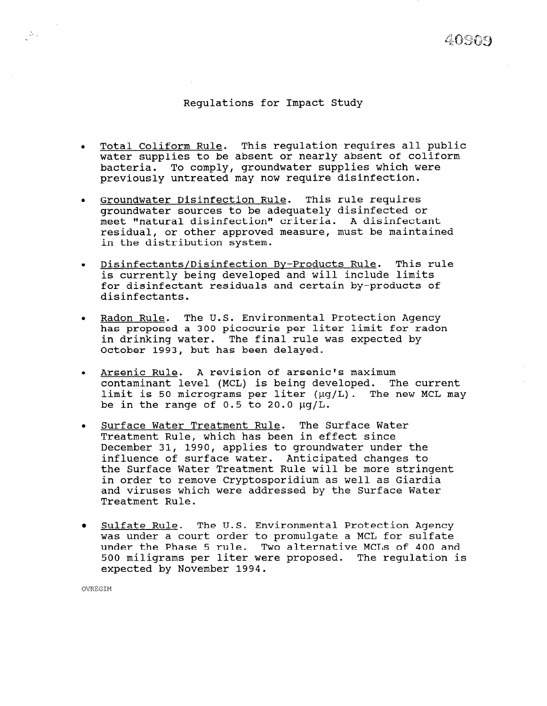# 40909

### Regulations for Impact Study

- Total Coliform Rule. This regulation requires all public  $\bullet$ water supplies to be absent or nearly absent of coliform bacteria. To comply, groundwater supplies which were previously untreated may now require disinfection.
- Groundwater Disinfection Rule. This rule requires groundwater sources to be adequately disinfected or meet "natural disinfection" criteria. A disinfectant residual, or other approved measure, must be maintained in the distribution system.
- Disinfectants/Disinfection By-Products Rule. This rule is currently being developed and will include limits for disinfectant residuals and certain by-products of disinfectants.
- Radon Rule. The U.S. Environmental Protection Agency has proposed a 300 picocurie per liter limit for radon in drinking water. The final rule was expected by October 1993, but has been delayed.
- Arsenic Rule. A revision of arsenic's maximum  $\bullet$ contaminant level (MCL) is being developed. The current limit is 50 micrograms per liter  $(\mu q/L)$ . The new MCL may be in the range of  $0.5$  to  $20.0 \mu q/L$ .
- Surface Water Treatment Rule. The Surface Water  $\bullet$ Treatment Rule, which has been in effect since December 31, 1990, applies to groundwater under the influence of surface water. Anticipated changes to the Surface Water Treatment Rule will be more stringent in order to remove Cryptosporidium as well as Giardia and viruses which were addressed by the Surface Water Treatment Rule.
- $\bullet$ Sulfate Rule. The U.S. Environmental Protection Agency was under a court order to promulgate a MCL for sulfate under the Phase 5 rule. Two alternative MCLs of 400 and 500 miligrams per liter were proposed. The regulation is expected by November 1994.

OVREGIM

 $\mathcal{Z}_{\mathcal{A}}$